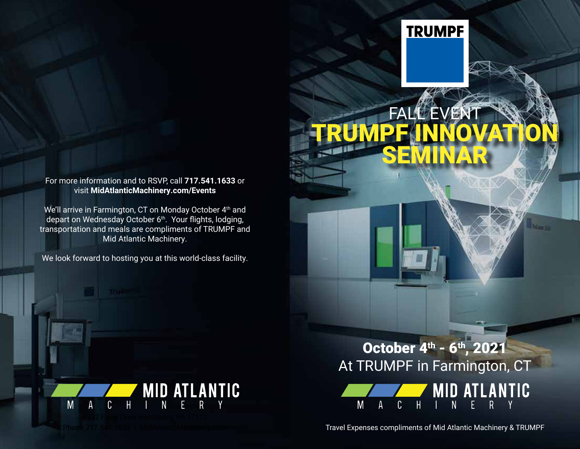## For more information and to RSVP, call **717.541.1633** or visit **MidAtlanticMachinery.com/Events**

We'll arrive in Farmington, CT on Monday October 4th and depart on Wednesday October 6<sup>th</sup>. Your flights, lodging, transportation and meals are compliments of TRUMPF and Mid Atlantic Machinery.

We look forward to hosting you at this world-class facility.



## October 4<sup>th</sup> - 6<sup>th</sup>, 2021 At TRUMPF in Farmington, CT

**FALLE**VENT

**TRUMPF** 

SE

TRUMPF INNOVATION



Travel Expenses compliments of Mid Atlantic Machinery & TRUMPF